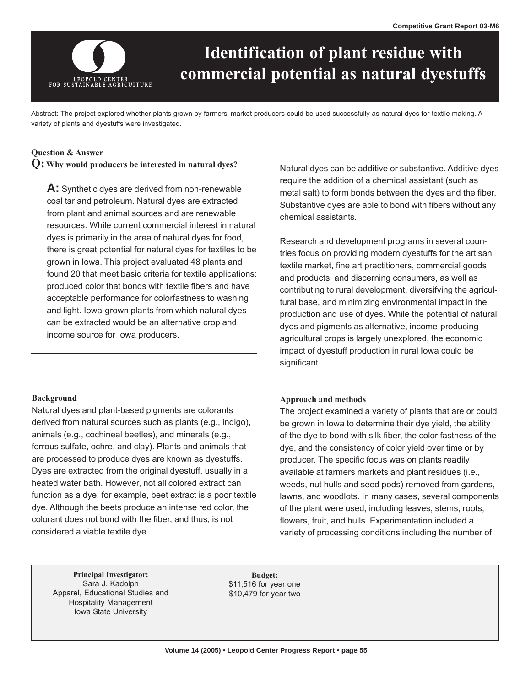

# **Identification of plant residue with commercial potential as natural dyestuffs**

Abstract: The project explored whether plants grown by farmers' market producers could be used successfully as natural dyes for textile making. A variety of plants and dyestuffs were investigated.

## **Question & Answer**

# **Q: Why would producers be interested in natural dyes?**

**A:** Synthetic dyes are derived from non-renewable coal tar and petroleum. Natural dyes are extracted from plant and animal sources and are renewable resources. While current commercial interest in natural dyes is primarily in the area of natural dyes for food, there is great potential for natural dyes for textiles to be grown in Iowa. This project evaluated 48 plants and found 20 that meet basic criteria for textile applications: produced color that bonds with textile fibers and have acceptable performance for colorfastness to washing and light. Iowa-grown plants from which natural dyes can be extracted would be an alternative crop and income source for Iowa producers.

### **Background**

Natural dyes and plant-based pigments are colorants derived from natural sources such as plants (e.g., indigo), animals (e.g., cochineal beetles), and minerals (e.g., ferrous sulfate, ochre, and clay). Plants and animals that are processed to produce dyes are known as dyestuffs. Dyes are extracted from the original dyestuff, usually in a heated water bath. However, not all colored extract can function as a dye; for example, beet extract is a poor textile dye. Although the beets produce an intense red color, the colorant does not bond with the fiber, and thus, is not considered a viable textile dye.

Natural dyes can be additive or substantive. Additive dyes require the addition of a chemical assistant (such as metal salt) to form bonds between the dyes and the fiber. Substantive dyes are able to bond with fibers without any chemical assistants.

Research and development programs in several countries focus on providing modern dyestuffs for the artisan textile market, fine art practitioners, commercial goods and products, and discerning consumers, as well as contributing to rural development, diversifying the agricultural base, and minimizing environmental impact in the production and use of dyes. While the potential of natural dyes and pigments as alternative, income-producing agricultural crops is largely unexplored, the economic impact of dyestuff production in rural Iowa could be significant.

### **Approach and methods**

The project examined a variety of plants that are or could be grown in Iowa to determine their dye yield, the ability of the dye to bond with silk fiber, the color fastness of the dye, and the consistency of color yield over time or by producer. The specific focus was on plants readily available at farmers markets and plant residues (i.e., weeds, nut hulls and seed pods) removed from gardens, lawns, and woodlots. In many cases, several components of the plant were used, including leaves, stems, roots, flowers, fruit, and hulls. Experimentation included a variety of processing conditions including the number of

**Principal Investigator:** Budget: Sara J. Kadolph \$11,516 for year one Apparel, Educational Studies and \$10,479 for year two Hospitality Management Iowa State University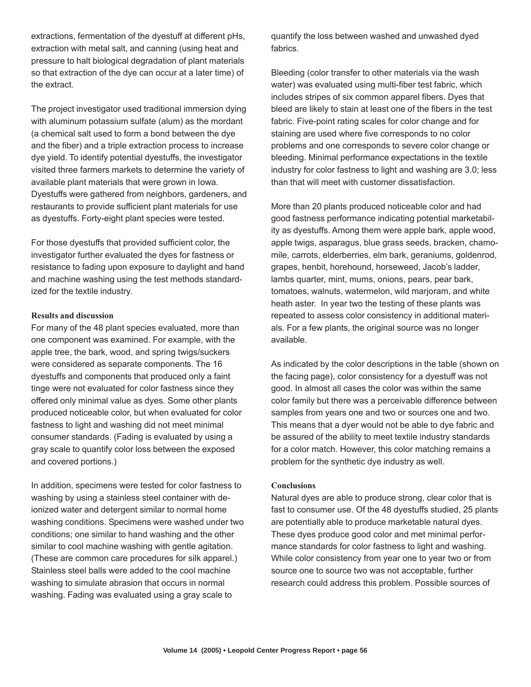extractions, fermentation of the dyestuff at different pHs, quantify the loss between washed and unwashed dyed extraction with metal salt, and canning (using heat and fabrics. pressure to halt biological degradation of plant materials so that extraction of the dye can occur at a later time) of Bleeding (color transfer to other materials via the wash the extract. water) was evaluated using multi-fiber test fabric, which

with aluminum potassium sulfate (alum) as the mordant fabric. Five-point rating scales for color change and for (a chemical salt used to form a bond between the dye staining are used where five corresponds to no color available plant materials that were grown in Iowa. than that will meet with customer dissatisfaction. Dyestuffs were gathered from neighbors, gardeners, and restaurants to provide sufficient plant materials for use More than 20 plants produced noticeable color and had

resistance to fading upon exposure to daylight and hand grapes, henbit, horehound, horseweed, Jacob's ladder, and machine washing using the test methods standard- lambs quarter, mint, mums, onions, pears, pear bark,

For many of the 48 plant species evaluated, more than als. For a few plants, the original source was no longer one component was examined. For example, with the available. apple tree, the bark, wood, and spring twigs/suckers tinge were not evaluated for color fastness since they good. In almost all cases the color was within the same and covered portions.) problem for the synthetic dye industry as well.

In addition, specimens were tested for color fastness to **Conclusions** washing by using a stainless steel container with de-<br>Natural dyes are able to produce strong, clear color that is washing conditions. Specimens were washed under two are potentially able to produce marketable natural dyes. Stainless steel balls were added to the cool machine source one to source two was not acceptable, further washing. Fading was evaluated using a gray scale to

includes stripes of six common apparel fibers. Dyes that The project investigator used traditional immersion dying bleed are likely to stain at least one of the fibers in the test and the fiber) and a triple extraction process to increase problems and one corresponds to severe color change or dye yield. To identify potential dyestuffs, the investigator bleeding. Minimal performance expectations in the textile visited three farmers markets to determine the variety of industry for color fastness to light and washing are 3.0; less

as dyestuffs. Forty-eight plant species were tested. good fastness performance indicating potential marketability as dyestuffs. Among them were apple bark, apple wood, For those dyestuffs that provided sufficient color, the apple twigs, asparagus, blue grass seeds, bracken, chamoinvestigator further evaluated the dyes for fastness or mile, carrots, elderberries, elm bark, geraniums, goldenrod, ized for the textile industry. tomatoes, walnuts, watermelon, wild marjoram, and white heath aster. In year two the testing of these plants was **Results and discussion** repeated to assess color consistency in additional materi-

were considered as separate components. The 16 As indicated by the color descriptions in the table (shown on dyestuffs and components that produced only a faint the facing page), color consistency for a dyestuff was not offered only minimal value as dyes. Some other plants color family but there was a perceivable difference between produced noticeable color, but when evaluated for color samples from years one and two or sources one and two. fastness to light and washing did not meet minimal This means that a dyer would not be able to dye fabric and consumer standards. (Fading is evaluated by using a be assured of the ability to meet textile industry standards gray scale to quantify color loss between the exposed for a color match. However, this color matching remains a

ionized water and detergent similar to normal home fast to consumer use. Of the 48 dyestuffs studied, 25 plants conditions; one similar to hand washing and the other These dyes produce good color and met minimal perforsimilar to cool machine washing with gentle agitation. The mance standards for color fastness to light and washing. (These are common care procedures for silk apparel.) While color consistency from year one to year two or from washing to simulate abrasion that occurs in normal research could address this problem. Possible sources of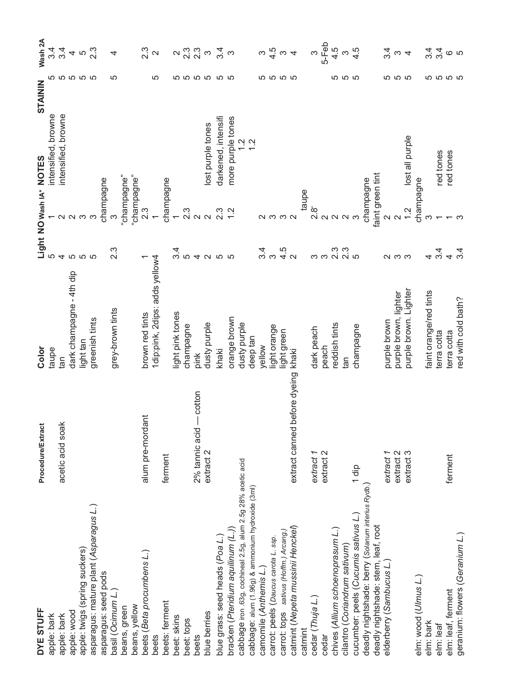| DYE STUFF                                                                                                                                           | <b>Procedure/Extract</b>        | Color                            |                   |                                                                                                          | <b>STAININ</b>              |             | Wash 2A                                   |
|-----------------------------------------------------------------------------------------------------------------------------------------------------|---------------------------------|----------------------------------|-------------------|----------------------------------------------------------------------------------------------------------|-----------------------------|-------------|-------------------------------------------|
| apple: bark                                                                                                                                         |                                 | taupe                            |                   | Light NO wash IA* NOTES<br>5<br>intensific                                                               | intensified, browne         | ഥ           |                                           |
| apple: bark                                                                                                                                         | acetic acid soak                | lan                              | 4                 |                                                                                                          | intensified, browne         |             | ર<br>બે 4<br>4                            |
| apple: wood                                                                                                                                         |                                 | dark champagne - 4th dip         |                   | $\sim$ $\sim$                                                                                            |                             | <b>5555</b> | 4                                         |
| apple: twigs (spring suckers)                                                                                                                       |                                 | light tan                        | <b>555</b>        | က                                                                                                        |                             |             | LO                                        |
| asparagus: mature plant (Asparagus L.)                                                                                                              |                                 | greenish tints                   |                   |                                                                                                          |                             |             | 2.3                                       |
| asparagus: seed pods                                                                                                                                |                                 |                                  |                   | champagne                                                                                                |                             |             |                                           |
| basil (Ocimum L.)                                                                                                                                   |                                 | grey-brown tints                 | $2.\overline{3}$  | က                                                                                                        |                             | <u>၊ </u>   | 4                                         |
| beans, green                                                                                                                                        |                                 |                                  |                   | "champagne"                                                                                              |                             |             |                                           |
| beans, yellow                                                                                                                                       |                                 |                                  |                   | "champagne"                                                                                              |                             |             |                                           |
| beets (Beta procumbens L.)                                                                                                                          | alum pre-mordant                | brown red tints                  |                   | 2.3                                                                                                      |                             |             | 23<br>21                                  |
| beets                                                                                                                                               |                                 | 1 dip:pink, 2 dips: adds yellow4 |                   |                                                                                                          |                             | <u>၊ </u>   |                                           |
| beets: ferment                                                                                                                                      | ferment                         |                                  |                   | champagne                                                                                                |                             |             |                                           |
| beet: skins                                                                                                                                         |                                 | ight pink tones                  |                   | $\leftarrow$                                                                                             |                             |             |                                           |
| beet: tops                                                                                                                                          |                                 | champagne                        |                   |                                                                                                          |                             |             | $\frac{2}{3}$ $\frac{3}{3}$ $\frac{3}{3}$ |
| beets                                                                                                                                               | cotton<br>2% tannic acid        | pink                             |                   |                                                                                                          |                             |             |                                           |
| blue berries                                                                                                                                        | extract <sub>2</sub>            | dusty purple                     | $\mathbf{\Omega}$ | 3<br>2<br>2<br>2<br>2<br>2<br>2<br>2<br>2<br>2<br>2<br>2<br>2<br>2<br>2<br>2<br>2<br>2<br>2<br><br>2<br> | lost purple tones           | <b>5555</b> | $\infty$                                  |
| blue grass: seed heads (Poa L.)                                                                                                                     |                                 | khaki                            | LO                | $2.\overline{3}$                                                                                         | darkened, intensifi         | မာ က        | 3.4                                       |
| bracken (Pteridium aquilinum (L.))                                                                                                                  |                                 | orange brown                     | ပ                 | $\frac{1}{2}$                                                                                            | more purple tones           |             | က                                         |
| cabbage iron .63g, cochineal 2.5g, alum 2.5g 28% acetic acid                                                                                        |                                 | dusty purple                     |                   |                                                                                                          |                             |             |                                           |
|                                                                                                                                                     |                                 |                                  |                   |                                                                                                          | $\frac{2}{1}$ $\frac{5}{1}$ |             |                                           |
| cabbage: alum (1.96g) & ammonium hydroxide (3ml)                                                                                                    |                                 | deep tan                         |                   |                                                                                                          |                             |             |                                           |
| camomile (Anthemis L.)                                                                                                                              |                                 | vellow                           | ო<br>ო<br>ო       |                                                                                                          |                             |             |                                           |
| carrot: peels (Daucus carota L. ssp.                                                                                                                |                                 | ight orange                      |                   | 2332                                                                                                     |                             | <b>5555</b> | $\omega\frac{4}{\mathcal{V}}\omega$ 4     |
| carrot: tops sativus (Hoffm.) Arcang.)                                                                                                              |                                 | light green                      | $4.5$<br>2        |                                                                                                          |                             |             |                                           |
| catmint (Nepeta mussinii Henckel)                                                                                                                   | before dyeing<br>extract canned | khaki                            |                   |                                                                                                          |                             |             |                                           |
| catmint                                                                                                                                             |                                 |                                  |                   | taupe                                                                                                    |                             |             |                                           |
| cedar (Thuja L.)                                                                                                                                    | extract 1                       | dark peach                       |                   |                                                                                                          |                             |             | S                                         |
| cedar                                                                                                                                               | extract 2                       | peach                            | ოო<br>ოო          | _<br>-<br>-<br>ด่ ด ด ด                                                                                  |                             |             | 5-Feb                                     |
| chives (Allium schoenoprasum L.)                                                                                                                    |                                 | reddish tints                    |                   |                                                                                                          |                             |             | 4.5                                       |
| cilantro (Coriandrum sativum)                                                                                                                       |                                 | lg1                              | ີ 3<br>ດ່ ທ       |                                                                                                          |                             | ro ro ro    | $\infty$                                  |
|                                                                                                                                                     |                                 | champagne                        |                   | က                                                                                                        |                             |             | 4.5                                       |
| deadly nightshade: berry ( <i>solanum interius Rydb.</i> )<br>deadly nightshade: berry ( <i>solanum interius Rydb.</i> )<br>deadly nightshade: ~*~~ |                                 |                                  |                   | champagne                                                                                                |                             |             |                                           |
| deadly nightshade: stem, leaf, root                                                                                                                 |                                 |                                  |                   | faint green tint                                                                                         |                             |             |                                           |
| elderberry (Sambucus L.)                                                                                                                            | extract 1                       | purple brown                     |                   |                                                                                                          |                             |             |                                           |
|                                                                                                                                                     | extract <sub>2</sub>            | purple brown, lighter            | လ က က             | $\sim$ $\sim$                                                                                            |                             | <b>5555</b> | $\frac{5}{4}$ ω 4                         |
|                                                                                                                                                     | extract 3                       | purple brown. Lighter            |                   | 1.2                                                                                                      | lost all purple             |             |                                           |
| elm: wood (Ulmus L.)                                                                                                                                |                                 |                                  |                   | champagne                                                                                                |                             |             |                                           |
| elm: bark                                                                                                                                           |                                 | faint orange/red tints           | 4                 | S                                                                                                        |                             |             |                                           |
| elm: leaf                                                                                                                                           |                                 | terra cotta                      | 3.4               |                                                                                                          | red tones                   | <b>5555</b> | પ્ર પ્ર<br>વ <i>વ</i>                     |
| elm: leaf, ferment                                                                                                                                  | ferment                         | terra cotta                      |                   |                                                                                                          | red tones                   |             |                                           |
| geranium: flowers (Geranium L.)                                                                                                                     |                                 | red with cold bath?              | $4 \frac{1}{4}$   |                                                                                                          |                             |             |                                           |
|                                                                                                                                                     |                                 |                                  |                   |                                                                                                          |                             |             |                                           |